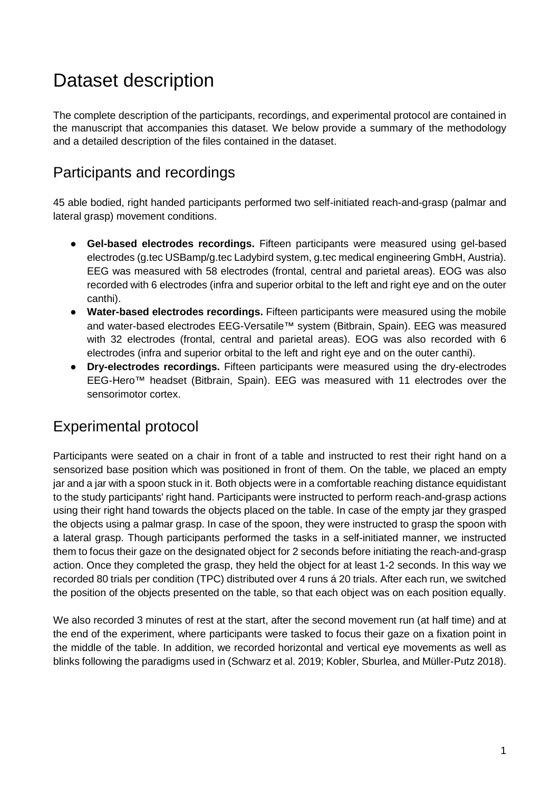# Dataset description

The complete description of the participants, recordings, and experimental protocol are contained in the manuscript that accompanies this dataset. We below provide a summary of the methodology and a detailed description of the files contained in the dataset.

### Participants and recordings

45 able bodied, right handed participants performed two self-initiated reach-and-grasp (palmar and lateral grasp) movement conditions.

- **Gel-based electrodes recordings.** Fifteen participants were measured using gel-based electrodes (g.tec USBamp/g.tec Ladybird system, g.tec medical engineering GmbH, Austria). EEG was measured with 58 electrodes (frontal, central and parietal areas). EOG was also recorded with 6 electrodes (infra and superior orbital to the left and right eye and on the outer canthi).
- **Water-based electrodes recordings.** Fifteen participants were measured using the mobile and water-based electrodes EEG-Versatile™ system (Bitbrain, Spain). EEG was measured with 32 electrodes (frontal, central and parietal areas). EOG was also recorded with 6 electrodes (infra and superior orbital to the left and right eye and on the outer canthi).
- **Dry-electrodes recordings.** Fifteen participants were measured using the dry-electrodes EEG-Hero™ headset (Bitbrain, Spain). EEG was measured with 11 electrodes over the sensorimotor cortex.

#### Experimental protocol

Participants were seated on a chair in front of a table and instructed to rest their right hand on a sensorized base position which was positioned in front of them. On the table, we placed an empty jar and a jar with a spoon stuck in it. Both objects were in a comfortable reaching distance equidistant to the study participants' right hand. Participants were instructed to perform reach-and-grasp actions using their right hand towards the objects placed on the table. In case of the empty jar they grasped the objects using a palmar grasp. In case of the spoon, they were instructed to grasp the spoon with a lateral grasp. Though participants performed the tasks in a self-initiated manner, we instructed them to focus their gaze on the designated object for 2 seconds before initiating the reach-and-grasp action. Once they completed the grasp, they held the object for at least 1-2 seconds. In this way we recorded 80 trials per condition (TPC) distributed over 4 runs á 20 trials. After each run, we switched the position of the objects presented on the table, so that each object was on each position equally.

We also recorded 3 minutes of rest at the start, after the second movement run (at half time) and at the end of the experiment, where participants were tasked to focus their gaze on a fixation point in the middle of the table. In addition, we recorded horizontal and vertical eye movements as well as blinks following the paradigms used in [\(Schwarz et al. 2019; Kobler, Sburlea, and Müller-Putz 2018\).](https://paperpile.com/c/7trG20/zHOu+r9yt)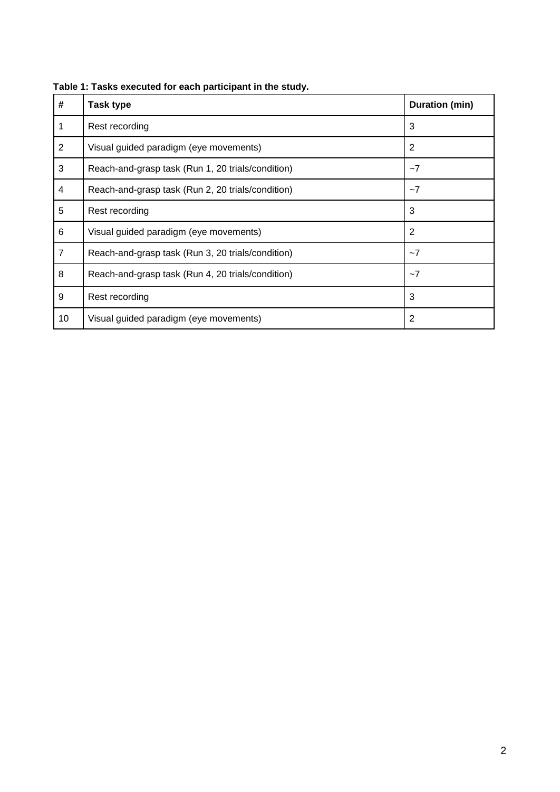| #              | Task type                                                 | Duration (min) |
|----------------|-----------------------------------------------------------|----------------|
| 1              | Rest recording                                            | 3              |
| $\overline{2}$ | Visual guided paradigm (eye movements)                    | 2              |
| 3              | Reach-and-grasp task (Run 1, 20 trials/condition)<br>$-7$ |                |
| 4              | Reach-and-grasp task (Run 2, 20 trials/condition)<br>$-7$ |                |
| 5              | 3<br>Rest recording                                       |                |
| 6              | Visual guided paradigm (eye movements)                    | 2              |
| $\overline{7}$ | Reach-and-grasp task (Run 3, 20 trials/condition)         | $-7$           |
| 8              | Reach-and-grasp task (Run 4, 20 trials/condition)         | $-7$           |
| 9              | Rest recording                                            | 3              |
| 10             | Visual guided paradigm (eye movements)                    | 2              |

**Table 1: Tasks executed for each participant in the study.**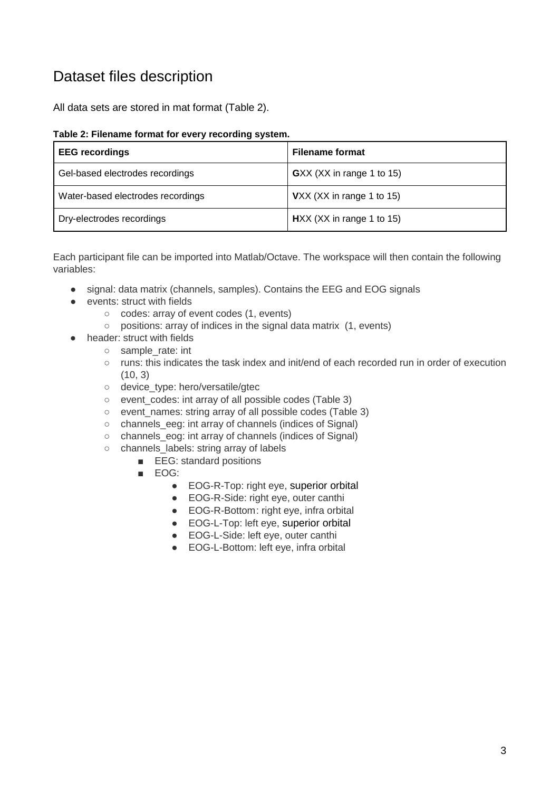### Dataset files description

All data sets are stored in mat format (Table 2).

#### **Table 2: Filename format for every recording system.**

| <b>EEG</b> recordings             | <b>Filename format</b>      |
|-----------------------------------|-----------------------------|
| Gel-based electrodes recordings   | GXX (XX in range 1 to 15)   |
| Water-based electrodes recordings | VXX (XX in range 1 to 15)   |
| Dry-electrodes recordings         | $HXX$ (XX in range 1 to 15) |

Each participant file can be imported into Matlab/Octave. The workspace will then contain the following variables:

- signal: data matrix (channels, samples). Contains the EEG and EOG signals
- events: struct with fields
	- codes: array of event codes (1, events)
	- positions: array of indices in the signal data matrix (1, events)
- header: struct with fields
	- sample\_rate: int
	- runs: this indicates the task index and init/end of each recorded run in order of execution (10, 3)
	- o device type: hero/versatile/gtec
	- event\_codes: int array of all possible codes (Table 3)
	- event\_names: string array of all possible codes (Table 3)
	- channels\_eeg: int array of channels (indices of Signal)
	- channels\_eog: int array of channels (indices of Signal)
	- channels labels: string array of labels
		- EEG: standard positions
		- EOG:
			- EOG-R-Top: right eye, superior orbital
			- EOG-R-Side: right eye, outer canthi
			- EOG-R-Bottom: right eye, infra orbital
			- EOG-L-Top: left eye, superior orbital
			- EOG-L-Side: left eye, outer canthi
			- EOG-L-Bottom: left eye, infra orbital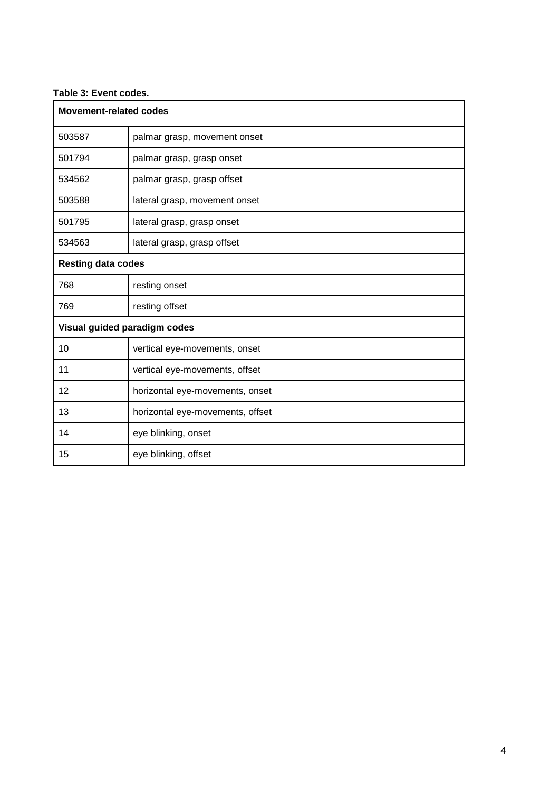#### **Table 3: Event codes.**

| <b>Movement-related codes</b> |                                  |  |  |  |
|-------------------------------|----------------------------------|--|--|--|
| 503587                        | palmar grasp, movement onset     |  |  |  |
| 501794                        | palmar grasp, grasp onset        |  |  |  |
| 534562                        | palmar grasp, grasp offset       |  |  |  |
| 503588                        | lateral grasp, movement onset    |  |  |  |
| 501795                        | lateral grasp, grasp onset       |  |  |  |
| 534563                        | lateral grasp, grasp offset      |  |  |  |
| <b>Resting data codes</b>     |                                  |  |  |  |
| 768                           | resting onset                    |  |  |  |
| 769                           | resting offset                   |  |  |  |
| Visual guided paradigm codes  |                                  |  |  |  |
| 10                            | vertical eye-movements, onset    |  |  |  |
| 11                            | vertical eye-movements, offset   |  |  |  |
| 12                            | horizontal eye-movements, onset  |  |  |  |
| 13                            | horizontal eye-movements, offset |  |  |  |
| 14                            | eye blinking, onset              |  |  |  |
| 15                            | eye blinking, offset             |  |  |  |